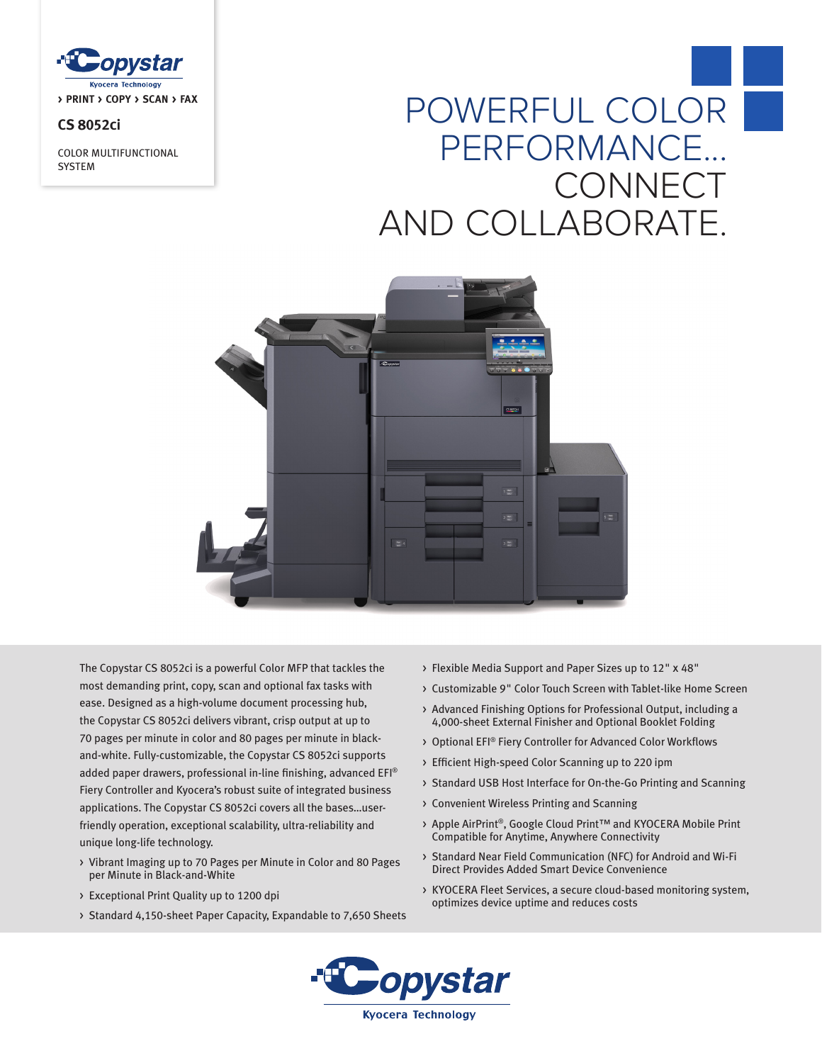

# **CS 8052ci**

COLOR MULTIFUNCTIONAL **SYSTEM** 

# POWERFUL COLOR PERFORMANCE... **CONNECT** AND COLLABORATE.



The Copystar CS 8052ci is a powerful Color MFP that tackles the most demanding print, copy, scan and optional fax tasks with ease. Designed as a high-volume document processing hub, the Copystar CS 8052ci delivers vibrant, crisp output at up to 70 pages per minute in color and 80 pages per minute in blackand-white. Fully-customizable, the Copystar CS 8052ci supports added paper drawers, professional in-line finishing, advanced EFI® Fiery Controller and Kyocera's robust suite of integrated business applications. The Copystar CS 8052ci covers all the bases…userfriendly operation, exceptional scalability, ultra-reliability and unique long-life technology.

- > Vibrant Imaging up to 70 Pages per Minute in Color and 80 Pages per Minute in Black-and-White
- > Exceptional Print Quality up to 1200 dpi
- > Standard 4,150-sheet Paper Capacity, Expandable to 7,650 Sheets
- > Flexible Media Support and Paper Sizes up to 12" x 48"
- > Customizable 9" Color Touch Screen with Tablet-like Home Screen
- > Advanced Finishing Options for Professional Output, including a 4,000-sheet External Finisher and Optional Booklet Folding
- > Optional EFI® Fiery Controller for Advanced Color Workflows
- > Efficient High-speed Color Scanning up to 220 ipm
- > Standard USB Host Interface for On-the-Go Printing and Scanning
- > Convenient Wireless Printing and Scanning
- > Apple AirPrint®, Google Cloud Print™ and KYOCERA Mobile Print Compatible for Anytime, Anywhere Connectivity
- > Standard Near Field Communication (NFC) for Android and Wi-Fi Direct Provides Added Smart Device Convenience
- > KYOCERA Fleet Services, a secure cloud-based monitoring system, optimizes device uptime and reduces costs